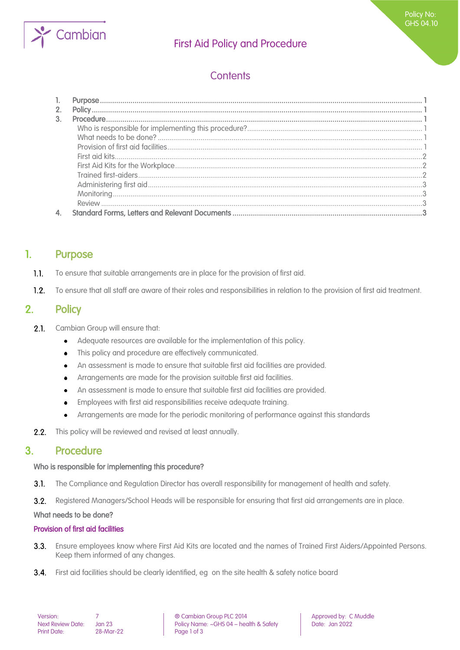

## First Aid Policy and Procedure

# **Contents**

## <span id="page-0-0"></span>1. Purpose

- $1.1.$ To ensure that suitable arrangements are in place for the provision of first aid.
- <span id="page-0-1"></span> $1.2<sub>1</sub>$ To ensure that all staff are aware of their roles and responsibilities in relation to the provision of first aid treatment.

## 2. Policy

- $2.1.$ Cambian Group will ensure that:
	- Adequate resources are available for the implementation of this policy.  $\bullet$
	- This policy and procedure are effectively communicated.  $\bullet$
	- An assessment is made to ensure that suitable first aid facilities are provided.
	- Arrangements are made for the provision suitable first aid facilities.  $\bullet$
	- An assessment is made to ensure that suitable first aid facilities are provided.
	- Employees with first aid responsibilities receive adequate training.  $\bullet$
	- Arrangements are made for the periodic monitoring of performance against this standards
- <span id="page-0-2"></span> $2.2.$ This policy will be reviewed and revised at least annually.

### 3. Procedure

### <span id="page-0-3"></span>Who is responsible for implementing this procedure?

 $3.1.$ The Compliance and Regulation Director has overall responsibility for management of health and safety.

 $3.2.$ Registered Managers/School Heads will be responsible for ensuring that first aid arrangements are in place.

#### <span id="page-0-4"></span>What needs to be done?

### <span id="page-0-5"></span>Provision of first aid facilities

- $3.3.$ Ensure employees know where First Aid Kits are located and the names of Trained First Aiders/Appointed Persons. Keep them informed of any changes.
- $3.4.$ First aid facilities should be clearly identified, eg on the site health & safety notice board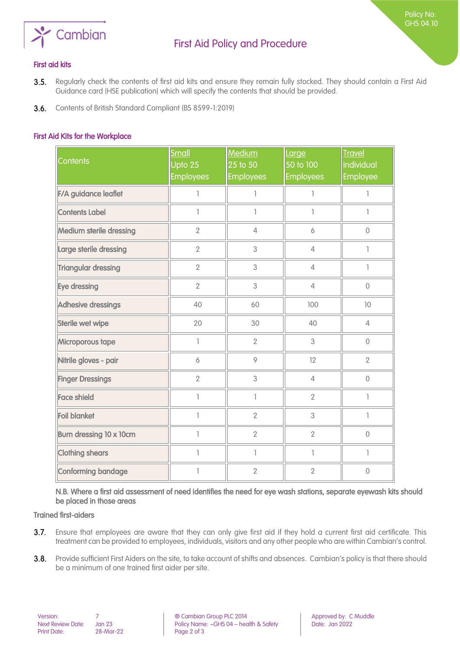

Policy No: GHS 04.10

#### <span id="page-1-0"></span>First aid kits

- $3.5.$ Regularly check the contents of first aid kits and ensure they remain fully stocked. They should contain a First Aid Guidance card (HSE publication) which will specify the contents that should be provided.
- <span id="page-1-1"></span>**3.6.** Contents of British Standard Compliant (BS 8599-1:2019)

#### First Aid Kits for the Workplace

| <b>Contents</b>            | Small<br>Upto 25<br><b>Employees</b>  | Medium<br>25 to 50<br><b>Employees</b> | Large<br>50 to 100<br><b>Employees</b> | <b>Travel</b><br>Individual<br>Employee |
|----------------------------|---------------------------------------|----------------------------------------|----------------------------------------|-----------------------------------------|
| F/A guidance leaflet       | 1                                     | 1                                      | ı                                      | ı                                       |
| <b>Contents Label</b>      | 1                                     | T                                      | ı                                      | 1                                       |
| Medium sterile dressing    | $\overline{2}$                        | $\overline{4}$                         | 6                                      | $\mathbf 0$                             |
| Large sterile dressing     | $\mathbf{2}$                          | 3                                      | $\overline{4}$                         |                                         |
| <b>Triangular dressing</b> | $\overline{2}$                        | 3                                      | $\overline{4}$                         | 1                                       |
| Eye dressing               | $\overline{2}$                        | 3                                      | $\overline{4}$                         | $\mathbf{0}$                            |
| Adhesive dressings         | 40                                    | 60                                     | 100                                    | 10                                      |
| Sterile wet wipe           | 20                                    | 30                                     | 40                                     | $\overline{4}$                          |
| Microporous tape           | $\begin{array}{c} \hline \end{array}$ | $\overline{2}$                         | 3                                      | $\overline{0}$                          |
| Nitrile gloves - pair      | 6                                     | 9                                      | 12                                     | $\overline{2}$                          |
| <b>Finger Dressings</b>    | $\overline{2}$                        | 3                                      | $\overline{4}$                         | $\mathbf 0$                             |
| <b>Face shield</b>         | 1                                     | 1                                      | $\overline{2}$                         | ı                                       |
| <b>Foil blanket</b>        | $\overline{\phantom{a}}$              | $\overline{2}$                         | 3                                      | T                                       |
| Burn dressing 10 x 10cm    | 1                                     | $\overline{2}$                         | $\overline{2}$                         | $\mathbf 0$                             |
| <b>Clothing shears</b>     | 1                                     | $\mathbb{I}$                           | 1                                      | T                                       |
| Conforming bandage         | 1                                     | $\overline{2}$                         | $\overline{2}$                         | $\overline{0}$                          |

<span id="page-1-2"></span>N.B. Where a first aid assessment of need identifies the need for eye wash stations, separate eyewash kits should be placed in those areas

#### Trained first-aiders

- 3.7. Ensure that employees are aware that they can only give first aid if they hold a current first aid certificate. This treatment can be provided to employees, individuals, visitors and any other people who are within Cambian's control.
- 3.8. Provide sufficient First Aiders on the site, to take account of shifts and absences. Cambian's policy is that there should be a minimum of one trained first aider per site.